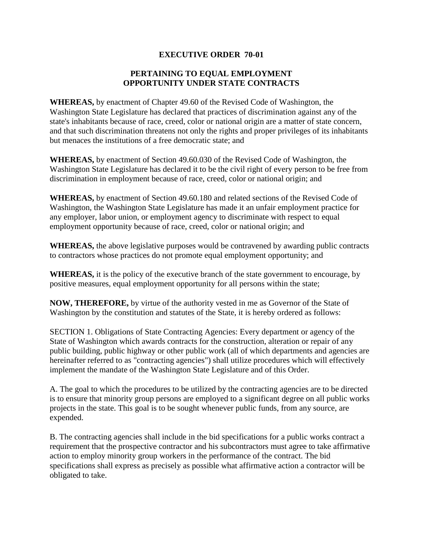## **EXECUTIVE ORDER 70-01**

## **PERTAINING TO EQUAL EMPLOYMENT OPPORTUNITY UNDER STATE CONTRACTS**

**WHEREAS,** by enactment of Chapter 49.60 of the Revised Code of Washington, the Washington State Legislature has declared that practices of discrimination against any of the state's inhabitants because of race, creed, color or national origin are a matter of state concern, and that such discrimination threatens not only the rights and proper privileges of its inhabitants but menaces the institutions of a free democratic state; and

**WHEREAS,** by enactment of Section 49.60.030 of the Revised Code of Washington, the Washington State Legislature has declared it to be the civil right of every person to be free from discrimination in employment because of race, creed, color or national origin; and

**WHEREAS,** by enactment of Section 49.60.180 and related sections of the Revised Code of Washington, the Washington State Legislature has made it an unfair employment practice for any employer, labor union, or employment agency to discriminate with respect to equal employment opportunity because of race, creed, color or national origin; and

**WHEREAS,** the above legislative purposes would be contravened by awarding public contracts to contractors whose practices do not promote equal employment opportunity; and

**WHEREAS,** it is the policy of the executive branch of the state government to encourage, by positive measures, equal employment opportunity for all persons within the state;

**NOW, THEREFORE,** by virtue of the authority vested in me as Governor of the State of Washington by the constitution and statutes of the State, it is hereby ordered as follows:

SECTION 1. Obligations of State Contracting Agencies: Every department or agency of the State of Washington which awards contracts for the construction, alteration or repair of any public building, public highway or other public work (all of which departments and agencies are hereinafter referred to as "contracting agencies") shall utilize procedures which will effectively implement the mandate of the Washington State Legislature and of this Order.

A. The goal to which the procedures to be utilized by the contracting agencies are to be directed is to ensure that minority group persons are employed to a significant degree on all public works projects in the state. This goal is to be sought whenever public funds, from any source, are expended.

B. The contracting agencies shall include in the bid specifications for a public works contract a requirement that the prospective contractor and his subcontractors must agree to take affirmative action to employ minority group workers in the performance of the contract. The bid specifications shall express as precisely as possible what affirmative action a contractor will be obligated to take.